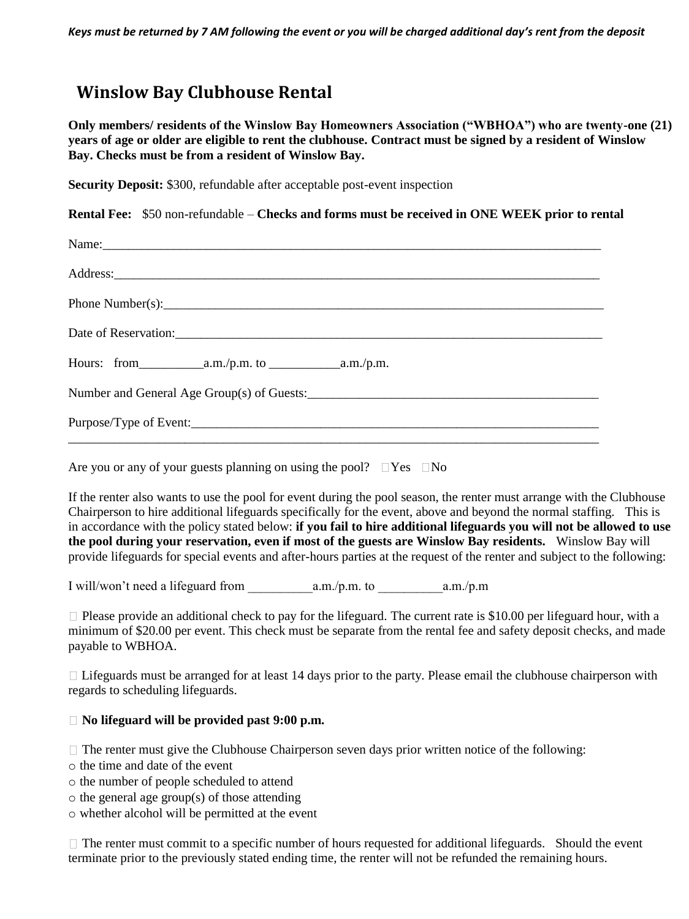## **Winslow Bay Clubhouse Rental**

**Only members/ residents of the Winslow Bay Homeowners Association ("WBHOA") who are twenty-one (21) years of age or older are eligible to rent the clubhouse. Contract must be signed by a resident of Winslow Bay. Checks must be from a resident of Winslow Bay.**

**Security Deposit:** \$300, refundable after acceptable post-event inspection

**Rental Fee:** \$50 non-refundable – **Checks and forms must be received in ONE WEEK prior to rental**

| Phone Number(s): $\frac{1}{2}$ Mumber(s): |
|-------------------------------------------|
| Date of Reservation:                      |
|                                           |
|                                           |
|                                           |
|                                           |

Are you or any of your guests planning on using the pool?  $\Box$  Yes  $\Box$  No

If the renter also wants to use the pool for event during the pool season, the renter must arrange with the Clubhouse Chairperson to hire additional lifeguards specifically for the event, above and beyond the normal staffing. This is in accordance with the policy stated below: **if you fail to hire additional lifeguards you will not be allowed to use the pool during your reservation, even if most of the guests are Winslow Bay residents.** Winslow Bay will provide lifeguards for special events and after-hours parties at the request of the renter and subject to the following:

I will/won't need a lifeguard from  $a.m./p.m.$  to  $a.m./p.m$ 

 $\Box$  Please provide an additional check to pay for the lifeguard. The current rate is \$10.00 per lifeguard hour, with a minimum of \$20.00 per event. This check must be separate from the rental fee and safety deposit checks, and made payable to WBHOA.

□ Lifeguards must be arranged for at least 14 days prior to the party. Please email the clubhouse chairperson with regards to scheduling lifeguards.

**No lifeguard will be provided past 9:00 p.m.** 

The renter must give the Clubhouse Chairperson seven days prior written notice of the following:

- o the time and date of the event
- o the number of people scheduled to attend
- $\circ$  the general age group(s) of those attending
- o whether alcohol will be permitted at the event

 $\Box$  The renter must commit to a specific number of hours requested for additional lifeguards. Should the event terminate prior to the previously stated ending time, the renter will not be refunded the remaining hours.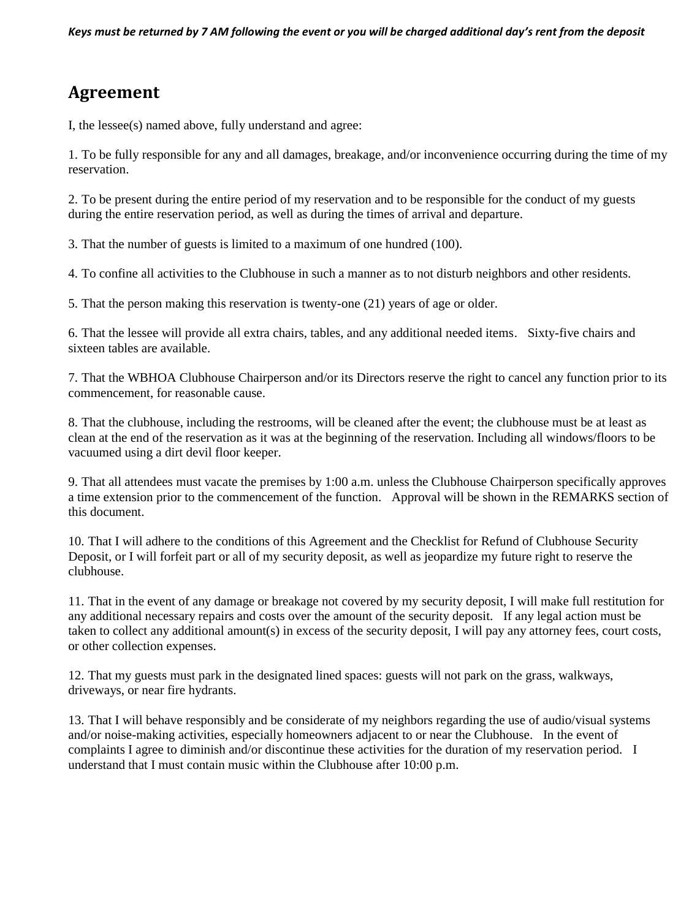## **Agreement**

I, the lessee(s) named above, fully understand and agree:

1. To be fully responsible for any and all damages, breakage, and/or inconvenience occurring during the time of my reservation.

2. To be present during the entire period of my reservation and to be responsible for the conduct of my guests during the entire reservation period, as well as during the times of arrival and departure.

3. That the number of guests is limited to a maximum of one hundred (100).

4. To confine all activities to the Clubhouse in such a manner as to not disturb neighbors and other residents.

5. That the person making this reservation is twenty-one (21) years of age or older.

6. That the lessee will provide all extra chairs, tables, and any additional needed items. Sixty-five chairs and sixteen tables are available.

7. That the WBHOA Clubhouse Chairperson and/or its Directors reserve the right to cancel any function prior to its commencement, for reasonable cause.

8. That the clubhouse, including the restrooms, will be cleaned after the event; the clubhouse must be at least as clean at the end of the reservation as it was at the beginning of the reservation. Including all windows/floors to be vacuumed using a dirt devil floor keeper.

9. That all attendees must vacate the premises by 1:00 a.m. unless the Clubhouse Chairperson specifically approves a time extension prior to the commencement of the function. Approval will be shown in the REMARKS section of this document.

10. That I will adhere to the conditions of this Agreement and the Checklist for Refund of Clubhouse Security Deposit, or I will forfeit part or all of my security deposit, as well as jeopardize my future right to reserve the clubhouse.

11. That in the event of any damage or breakage not covered by my security deposit, I will make full restitution for any additional necessary repairs and costs over the amount of the security deposit. If any legal action must be taken to collect any additional amount(s) in excess of the security deposit, I will pay any attorney fees, court costs, or other collection expenses.

12. That my guests must park in the designated lined spaces: guests will not park on the grass, walkways, driveways, or near fire hydrants.

13. That I will behave responsibly and be considerate of my neighbors regarding the use of audio/visual systems and/or noise-making activities, especially homeowners adjacent to or near the Clubhouse. In the event of complaints I agree to diminish and/or discontinue these activities for the duration of my reservation period. I understand that I must contain music within the Clubhouse after 10:00 p.m.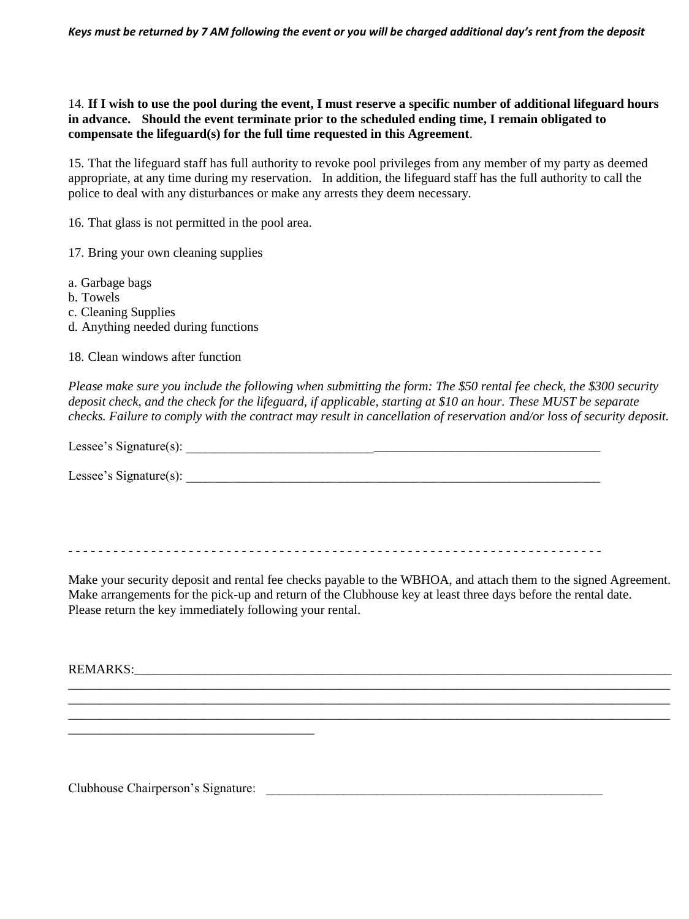14. **If I wish to use the pool during the event, I must reserve a specific number of additional lifeguard hours in advance. Should the event terminate prior to the scheduled ending time, I remain obligated to compensate the lifeguard(s) for the full time requested in this Agreement**.

15. That the lifeguard staff has full authority to revoke pool privileges from any member of my party as deemed appropriate, at any time during my reservation. In addition, the lifeguard staff has the full authority to call the police to deal with any disturbances or make any arrests they deem necessary.

16. That glass is not permitted in the pool area.

17. Bring your own cleaning supplies

a. Garbage bags

b. Towels

c. Cleaning Supplies

d. Anything needed during functions

18. Clean windows after function

*Please make sure you include the following when submitting the form: The \$50 rental fee check, the \$300 security deposit check, and the check for the lifeguard, if applicable, starting at \$10 an hour. These MUST be separate checks. Failure to comply with the contract may result in cancellation of reservation and/or loss of security deposit.*

Lessee's Signature(s): \_\_\_\_\_\_\_\_\_\_\_\_\_\_\_\_\_\_\_\_\_\_\_\_\_\_\_\_\_\_\_\_\_\_\_\_\_\_\_\_\_\_\_\_\_\_\_\_\_\_\_\_\_\_\_\_\_\_\_\_\_\_\_\_

Lessee's Signature $(s)$ :

**- - - - - - - - - - - - - - - - - - - - - - - - - - - - - - - - - - - - - - - - - - - - - - - - - - - - - - - - - - - - - - - - - - - - - - -**

Make your security deposit and rental fee checks payable to the WBHOA, and attach them to the signed Agreement. Make arrangements for the pick-up and return of the Clubhouse key at least three days before the rental date. Please return the key immediately following your rental.

\_\_\_\_\_\_\_\_\_\_\_\_\_\_\_\_\_\_\_\_\_\_\_\_\_\_\_\_\_\_\_\_\_\_\_\_\_\_\_\_\_\_\_\_\_\_\_\_\_\_\_\_\_\_\_\_\_\_\_\_\_\_\_\_\_\_\_\_\_\_\_\_\_\_\_\_\_\_\_\_\_\_\_\_\_\_\_\_\_\_\_\_\_ \_\_\_\_\_\_\_\_\_\_\_\_\_\_\_\_\_\_\_\_\_\_\_\_\_\_\_\_\_\_\_\_\_\_\_\_\_\_\_\_\_\_\_\_\_\_\_\_\_\_\_\_\_\_\_\_\_\_\_\_\_\_\_\_\_\_\_\_\_\_\_\_\_\_\_\_\_\_\_\_\_\_\_\_\_\_\_\_\_\_\_\_\_ \_\_\_\_\_\_\_\_\_\_\_\_\_\_\_\_\_\_\_\_\_\_\_\_\_\_\_\_\_\_\_\_\_\_\_\_\_\_\_\_\_\_\_\_\_\_\_\_\_\_\_\_\_\_\_\_\_\_\_\_\_\_\_\_\_\_\_\_\_\_\_\_\_\_\_\_\_\_\_\_\_\_\_\_\_\_\_\_\_\_\_\_\_

REMARKS:

Clubhouse Chairperson's Signature:

\_\_\_\_\_\_\_\_\_\_\_\_\_\_\_\_\_\_\_\_\_\_\_\_\_\_\_\_\_\_\_\_\_\_\_\_\_\_